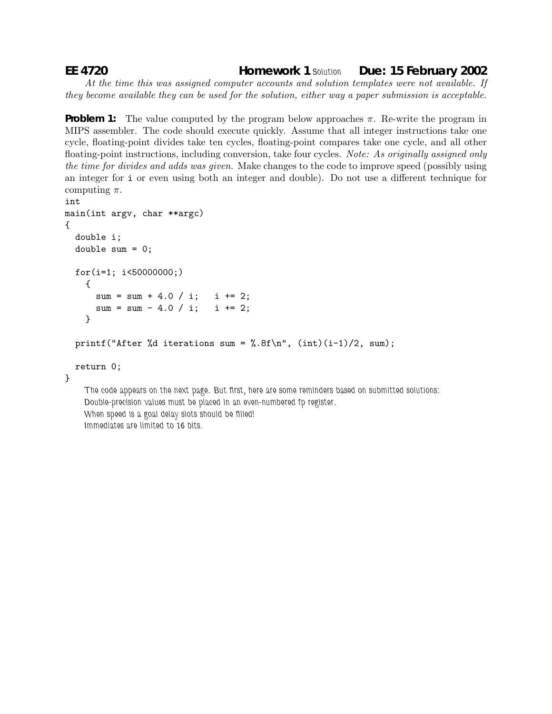## **EE 4720 Homework 1** *Solution* **Due: 15 February 2002**

*At the time this was assigned computer accounts and solution templates were not available. If they become available they can be used for the solution, either way a paper submission is acceptable.*

**Problem 1:** The value computed by the program below approaches  $\pi$ . Re-write the program in MIPS assembler. The code should execute quickly. Assume that all integer instructions take one cycle, floating-point divides take ten cycles, floating-point compares take one cycle, and all other floating-point instructions, including conversion, take four cycles. *Note: As originally assigned only the time for divides and adds was given.* Make changes to the code to improve speed (possibly using an integer for i or even using both an integer and double). Do not use a different technique for computing  $\pi$ .

```
int
main(int argv, char **argc)
{
 double i;
 double sum = 0;
 for(i=1; i<50000000;)
   {
     sum = sum + 4.0 / i; i += 2;
     sum = sum - 4.0 / i; i += 2;}
 printf("After %d iterations sum = %.8f\n", (int)(i-1)/2, sum);
```

```
return 0;
```
}

*The code appears on the next page. But first, here are some reminders based on submitted solutions: Double-precision values must be placed in an even-numbered fp register. When speed is a goal delay slots should be filled! Immediates are limited to 16 bits.*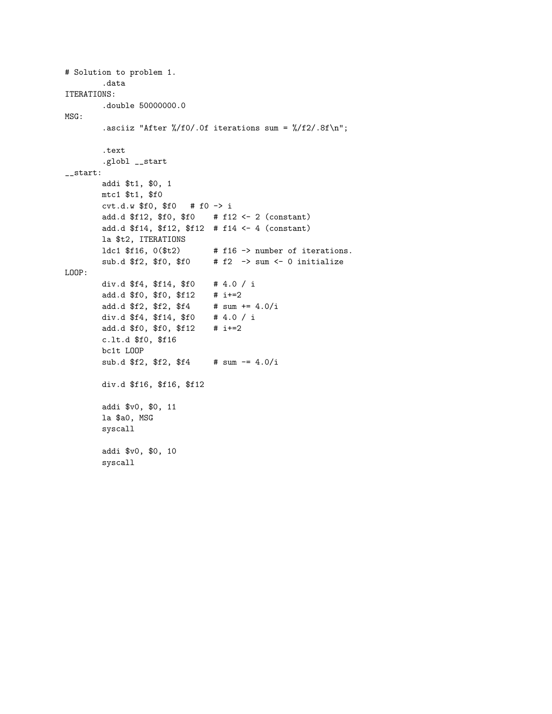```
# Solution to problem 1.
       .data
ITERATIONS:
       .double 50000000.0
MSG:
       .asciiz "After \frac{1}{2} / f0/.0f iterations sum = \frac{1}{2} / f2/.8f \n";
       .text
       .globl __start
__start:
       addi $t1, $0, 1
       mtc1 $t1, $f0
       cvt.d.w $f0, $f0 # f0 -> i
       add.d $f12, $f0, $f0 # f12 <- 2 (constant)
       add.d $f14, $f12, $f12 # f14 <- 4 (constant)
       la $t2, ITERATIONS
       1dc1 f16, 0(ft2) # f16 -> number of iterations.
       sub.d f2, f0, f0 # f2 -> sum <- 0 initialize
LOOP:
       div.d $f4, $f14, $f0 # 4.0 / i
       add.d $f0, $f0, $f12 # i+=2
       add.d $f2, $f2, $f4 # sum += 4.0/i
       div.d $f4, $f14, $f0 # 4.0 / i
       add.d $f0, $f0, $f12 # i+=2
       c.lt.d $f0, $f16
       bc1t LOOP
       sub.d $f2, $f2, $f4 # sum = 4.0/idiv.d $f16, $f16, $f12
       addi $v0, $0, 11
       la $a0, MSG
       syscall
       addi $v0, $0, 10
       syscall
```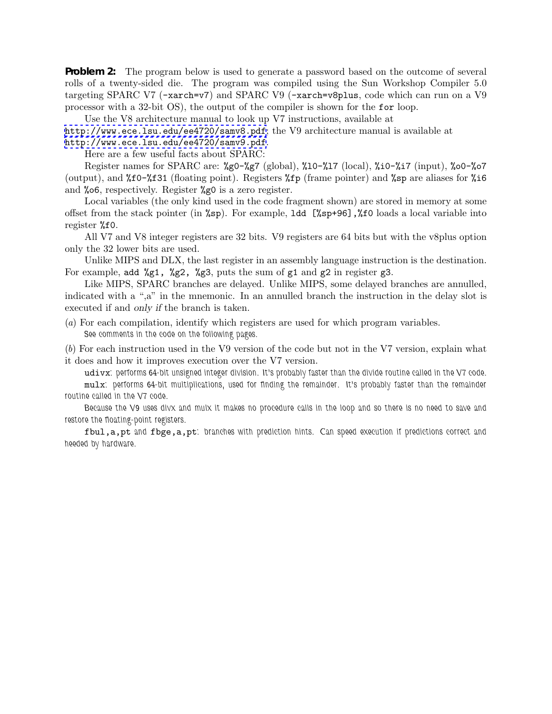**Problem 2:** The program below is used to generate a password based on the outcome of several rolls of a twenty-sided die. The program was compiled using the Sun Workshop Compiler 5.0 targeting SPARC V7 (-xarch=v7) and SPARC V9 (-xarch=v8plus, code which can run on a V9 processor with a 32-bit OS), the output of the compiler is shown for the for loop.

Use the V8 architecture manual to look up V7 instructions, available at

<http://www.ece.lsu.edu/ee4720/samv8.pdf>; the V9 architecture manual is available at <http://www.ece.lsu.edu/ee4720/samv9.pdf>.

Here are a few useful facts about SPARC:

Register names for SPARC are:  $\&80-\&87 \text{ (global)}$ ,  $\&10-\&17 \text{ (local)}$ ,  $\&10-\&17 \text{ (input)}$ ,  $\&00-\&07$ (output), and %f0-%f31 (floating point). Registers %fp (frame pointer) and %sp are aliases for %i6 and %o6, respectively. Register %g0 is a zero register.

Local variables (the only kind used in the code fragment shown) are stored in memory at some offset from the stack pointer (in %sp). For example, ldd [%sp+96],%f0 loads a local variable into register %f0.

All V7 and V8 integer registers are 32 bits. V9 registers are 64 bits but with the v8plus option only the 32 lower bits are used.

Unlike MIPS and DLX, the last register in an assembly language instruction is the destination. For example, add %g1, %g2, %g3, puts the sum of g1 and g2 in register g3.

Like MIPS, SPARC branches are delayed. Unlike MIPS, some delayed branches are annulled, indicated with a ",a" in the mnemonic. In an annulled branch the instruction in the delay slot is executed if and *only if* the branch is taken.

(*a*) For each compilation, identify which registers are used for which program variables. *See comments in the code on the following pages.*

(*b*) For each instruction used in the V9 version of the code but not in the V7 version, explain what it does and how it improves execution over the V7 version.

udivx*: performs 64-bit unsigned integer division. It's probably faster than the divide routine called in the V7 code.* mulx*: performs 64-bit multiplications, used for finding the remainder. It's probably faster than the remainder routine called in the V7 code.*

*Because the V9 uses divx and mulx it makes no procedure calls in the loop and so there is no need to save and restore the floating-point registers.*

fbul,a,pt *and* fbge,a,pt*: branches with prediction hints. Can speed execution if predictions correct and heeded by hardware.*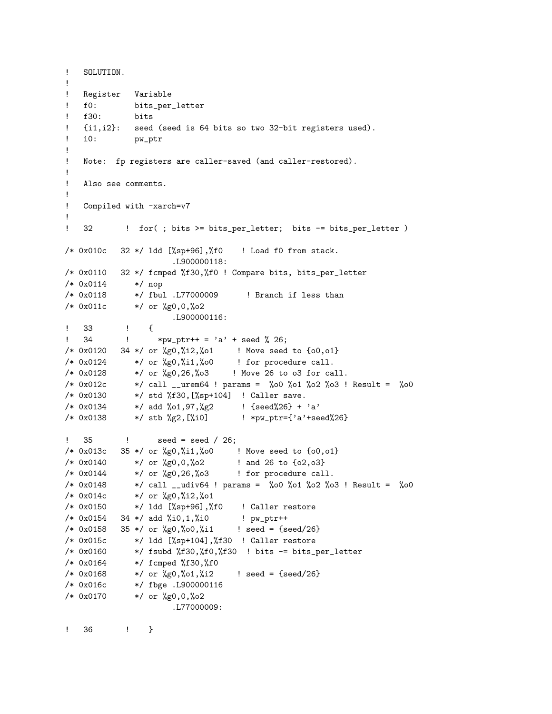```
! SOLUTION.
!
! Register Variable
! f0: bits_per_letter
! f30: bits
! {i1,i2}: seed (seed is 64 bits so two 32-bit registers used).
! i0: pw_ptr
!
! Note: fp registers are caller-saved (and caller-restored).
!
! Also see comments.
!
! Compiled with -xarch=v7
!
! 32 ! for(; bits >= bits_per_letter; bits -= bits_per_letter )
/* 0x010c 32 */ ldd [%sp+96],%f0 ! Load f0 from stack.
                    .L900000118:
/* 0x0110 32 */ fcmped %f30,%f0 ! Compare bits, bits_per_letter
/* 0x0114 */ nop
/* 0x0118 */ fbul .L77000009 ! Branch if less than
/* 0x011c */ or %g0,0,%o2
                    .L900000116:
! 33 ! {
! 34 ! *pw_ptr++ = 'a' + seed % 26;
/* 0x0120 34 */ or %g0,%i2,%o1 ! Move seed to {o0,o1}
/* 0x0124 */ or %g0,%i1,%o0 ! for procedure call.
/* 0x0128 */ or %g0,26,%o3 ! Move 26 to o3 for call.
/* 0x012c */ call __urem64 ! params = %o0 %o1 %o2 %o3 ! Result = %o0
/* 0x0130 */ std %f30,[%sp+104] ! Caller save.
/* 0x0134 */ add %01,97,%g2 ! {seed%26} + 'a'
/* 0x0138 */ stb %g2,[%i0] ! *pw_ptr={'a'+seed%26}
! 35 ! seed = seed / 26;
/* 0x013c 35 */ or %g0,%i1,%o0 ! Move seed to {o0,o1}
/* 0x0140 */ or %g0,0,%o2 ! and 26 to {o2,o3}
/* 0x0144 */ or %g0,26,%o3 ! for procedure call.
/* 0x0148 */ call __udiv64 ! params = %o0 %o1 %o2 %o3 ! Result = %o0
/* 0x014c */ or %g0,%i2,%o1
/* 0x0150 */ ldd [%sp+96],%f0 ! Caller restore
/* 0x0154 34 */ add %i0,1,%i0 ! pw_ptr++
/* 0x0158 35 */ or %g0,%o0,%i1 ! seed = {seed/26}
/* 0x015c */ ldd [%sp+104],%f30 ! Caller restore
/* 0x0160 */ fsubd %f30,%f0,%f30 ! bits -= bits_per_letter
/* 0x0164 */ fcmped %f30,%f0
/* 0x0168 */ or \frac{6}{20},\frac{6}{1},\frac{1}{2} ! seed = {seed/26}
/* 0x016c */ fbge .L900000116
/* 0x0170 */ or %g0,0,%o2
                    .L77000009:
```
! 36 ! }